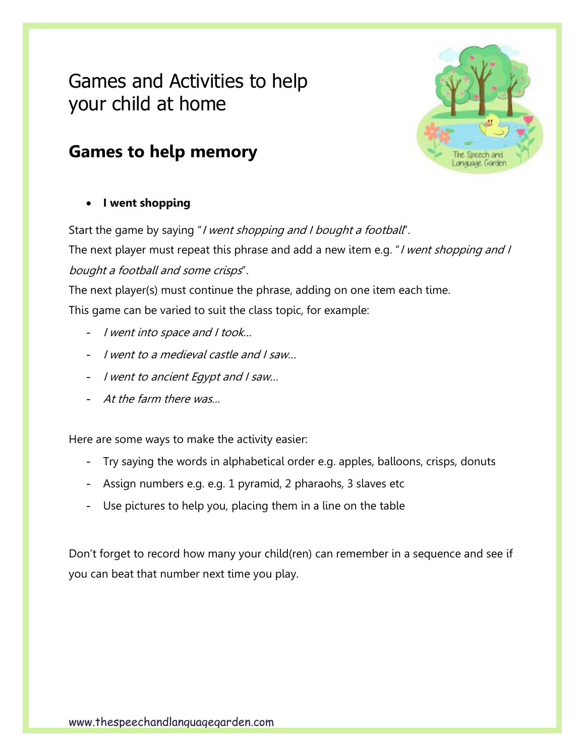# Games and Activities to help your child at home





• **I went shopping**

Start the game by saying "*I went shopping and I bought a football*".

The next player must repeat this phrase and add a new item e.g. "I went shopping and I bought a football and some crisps".

The next player(s) must continue the phrase, adding on one item each time. This game can be varied to suit the class topic, for example:

- I went into space and I took…
- I went to a medieval castle and I saw…
- I went to ancient Egypt and I saw…
- At the farm there was…

Here are some ways to make the activity easier:

- Try saying the words in alphabetical order e.g. apples, balloons, crisps, donuts
- Assign numbers e.g. e.g. 1 pyramid, 2 pharaohs, 3 slaves etc
- Use pictures to help you, placing them in a line on the table

Don't forget to record how many your child(ren) can remember in a sequence and see if you can beat that number next time you play.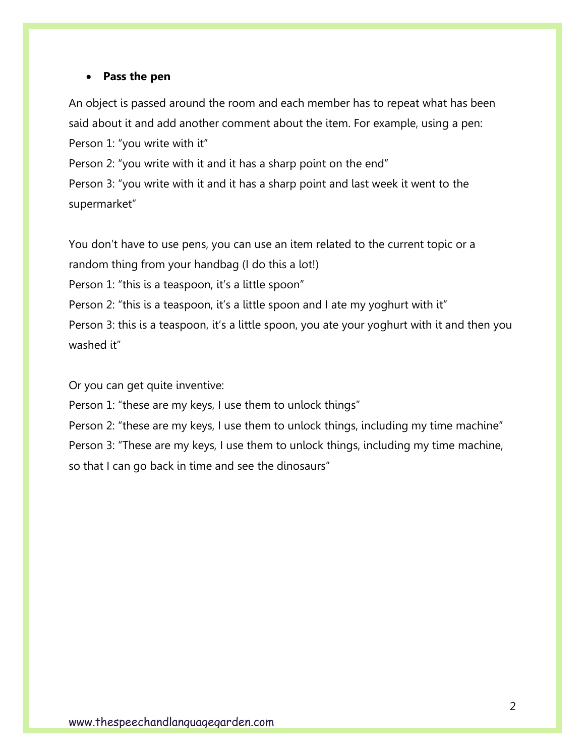#### • **Pass the pen**

An object is passed around the room and each member has to repeat what has been said about it and add another comment about the item. For example, using a pen: Person 1: "you write with it" Person 2: "you write with it and it has a sharp point on the end"

Person 3: "you write with it and it has a sharp point and last week it went to the supermarket"

You don't have to use pens, you can use an item related to the current topic or a random thing from your handbag (I do this a lot!)

Person 1: "this is a teaspoon, it's a little spoon"

Person 2: "this is a teaspoon, it's a little spoon and I ate my yoghurt with it"

Person 3: this is a teaspoon, it's a little spoon, you ate your yoghurt with it and then you washed it"

Or you can get quite inventive:

Person 1: "these are my keys, I use them to unlock things"

Person 2: "these are my keys, I use them to unlock things, including my time machine" Person 3: "These are my keys, I use them to unlock things, including my time machine, so that I can go back in time and see the dinosaurs"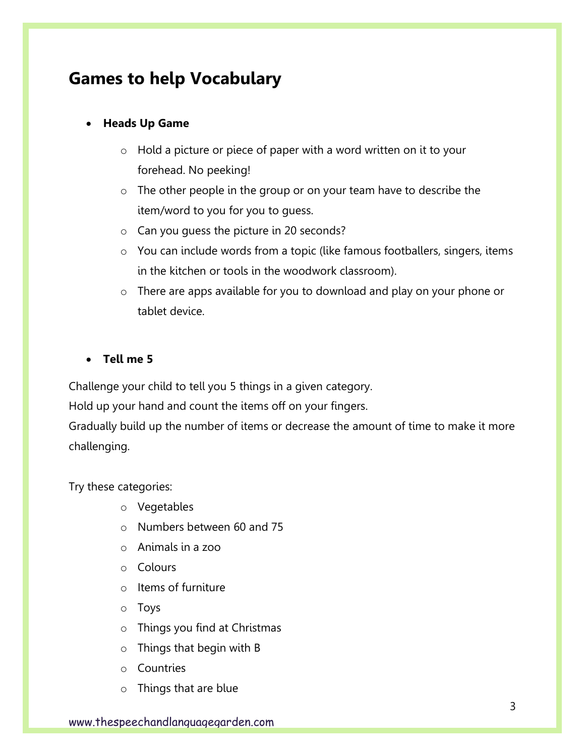### **Games to help Vocabulary**

### • **Heads Up Game**

- o Hold a picture or piece of paper with a word written on it to your forehead. No peeking!
- o The other people in the group or on your team have to describe the item/word to you for you to guess.
- o Can you guess the picture in 20 seconds?
- o You can include words from a topic (like famous footballers, singers, items in the kitchen or tools in the woodwork classroom).
- o There are apps available for you to download and play on your phone or tablet device.

#### • **Tell me 5**

Challenge your child to tell you 5 things in a given category.

Hold up your hand and count the items off on your fingers.

Gradually build up the number of items or decrease the amount of time to make it more challenging.

Try these categories:

- o Vegetables
- o Numbers between 60 and 75
- o Animals in a zoo
- o Colours
- o Items of furniture
- o Toys
- o Things you find at Christmas
- o Things that begin with B
- o Countries
- o Things that are blue

www.thespeechandlanguagegarden.com